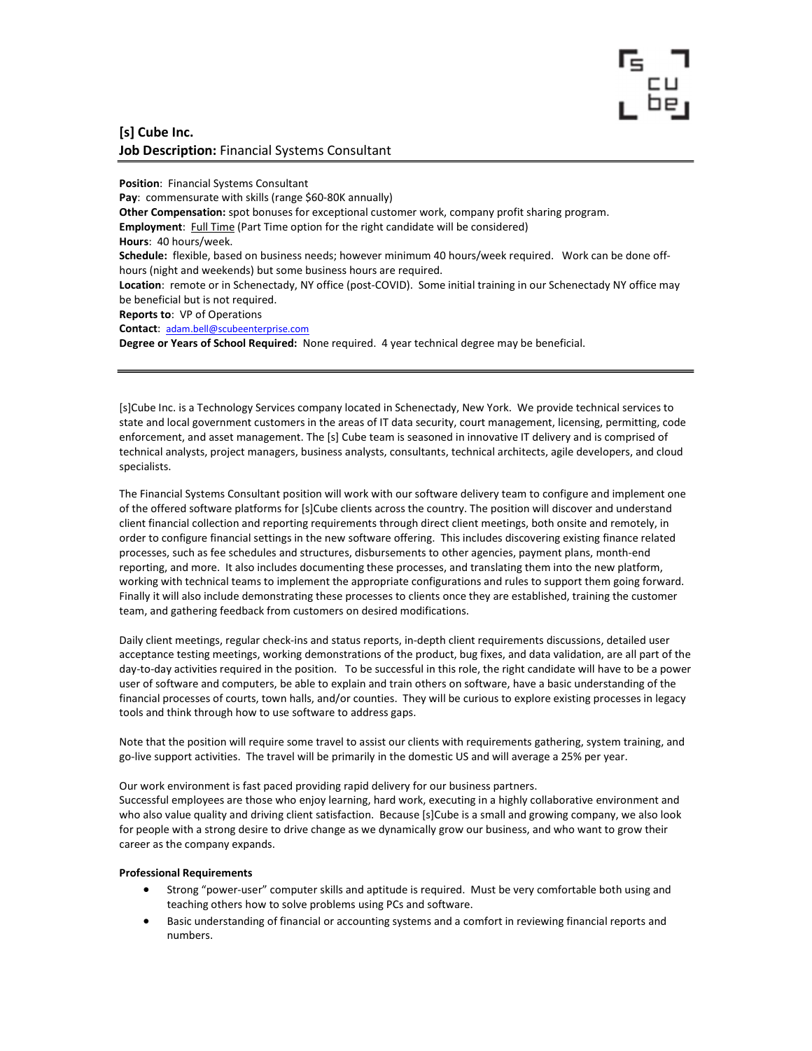## [s] Cube Inc. Job Description: Financial Systems Consultant

Position: Financial Systems Consultant

Pay: commensurate with skills (range \$60-80K annually) Other Compensation: spot bonuses for exceptional customer work, company profit sharing program. Employment: Full Time (Part Time option for the right candidate will be considered)

Hours: 40 hours/week.

Schedule: flexible, based on business needs; however minimum 40 hours/week required. Work can be done offhours (night and weekends) but some business hours are required.

Location: remote or in Schenectady, NY office (post-COVID). Some initial training in our Schenectady NY office may be beneficial but is not required.

Reports to: VP of Operations

Contact: adam.bell@scubeenterprise.com

Degree or Years of School Required: None required. 4 year technical degree may be beneficial.

[s]Cube Inc. is a Technology Services company located in Schenectady, New York. We provide technical services to state and local government customers in the areas of IT data security, court management, licensing, permitting, code enforcement, and asset management. The [s] Cube team is seasoned in innovative IT delivery and is comprised of technical analysts, project managers, business analysts, consultants, technical architects, agile developers, and cloud specialists.

The Financial Systems Consultant position will work with our software delivery team to configure and implement one of the offered software platforms for [s]Cube clients across the country. The position will discover and understand client financial collection and reporting requirements through direct client meetings, both onsite and remotely, in order to configure financial settings in the new software offering. This includes discovering existing finance related processes, such as fee schedules and structures, disbursements to other agencies, payment plans, month-end reporting, and more. It also includes documenting these processes, and translating them into the new platform, working with technical teams to implement the appropriate configurations and rules to support them going forward. Finally it will also include demonstrating these processes to clients once they are established, training the customer team, and gathering feedback from customers on desired modifications.

Daily client meetings, regular check-ins and status reports, in-depth client requirements discussions, detailed user acceptance testing meetings, working demonstrations of the product, bug fixes, and data validation, are all part of the day-to-day activities required in the position. To be successful in this role, the right candidate will have to be a power user of software and computers, be able to explain and train others on software, have a basic understanding of the financial processes of courts, town halls, and/or counties. They will be curious to explore existing processes in legacy tools and think through how to use software to address gaps.

Note that the position will require some travel to assist our clients with requirements gathering, system training, and go-live support activities. The travel will be primarily in the domestic US and will average a 25% per year.

Our work environment is fast paced providing rapid delivery for our business partners.

Successful employees are those who enjoy learning, hard work, executing in a highly collaborative environment and who also value quality and driving client satisfaction. Because [s]Cube is a small and growing company, we also look for people with a strong desire to drive change as we dynamically grow our business, and who want to grow their career as the company expands.

## Professional Requirements

- Strong "power-user" computer skills and aptitude is required. Must be very comfortable both using and teaching others how to solve problems using PCs and software.
- Basic understanding of financial or accounting systems and a comfort in reviewing financial reports and numbers.